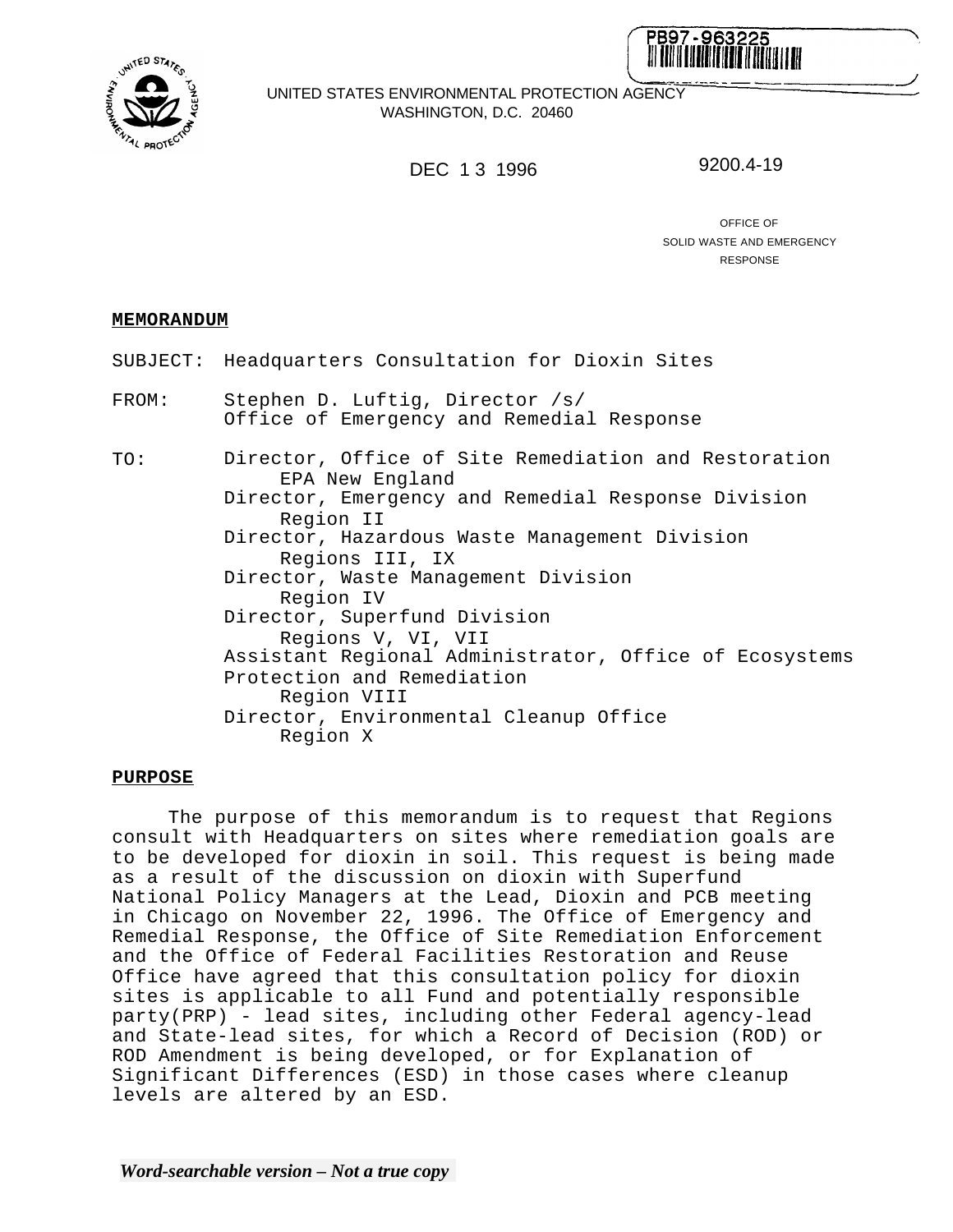



UNITED STATES ENVIRONMENTAL PROTECTION AGENCY WASHINGTON, D.C. 20460

## DEC 13 1996 9200.4-19

OFFICE OF SOLID WASTE AND EMERGENCY RESPONSE

## **MEMORANDUM**

- SUBJECT: Headquarters Consultation for Dioxin Sites
- FROM: Stephen D. Luftig, Director /s/ Office of Emergency and Remedial Response

TO: Director, Office of Site Remediation and Restoration EPA New England Director, Emergency and Remedial Response Division Region II Director, Hazardous Waste Management Division Regions III, IX Director, Waste Management Division Region IV Director, Superfund Division Regions V, VI, VII Assistant Regional Administrator, Office of Ecosystems Protection and Remediation Region VIII Director, Environmental Cleanup Office Region X

## **PURPOSE**

The purpose of this memorandum is to request that Regions consult with Headquarters on sites where remediation goals are to be developed for dioxin in soil. This request is being made as a result of the discussion on dioxin with Superfund National Policy Managers at the Lead, Dioxin and PCB meeting in Chicago on November 22, 1996. The Office of Emergency and Remedial Response, the Office of Site Remediation Enforcement and the Office of Federal Facilities Restoration and Reuse Office have agreed that this consultation policy for dioxin sites is applicable to all Fund and potentially responsible party(PRP) - lead sites, including other Federal agency-lead and State-lead sites, for which a Record of Decision (ROD) or ROD Amendment is being developed, or for Explanation of Significant Differences (ESD) in those cases where cleanup levels are altered by an ESD.

*Word-searchable version – Not a true copy*